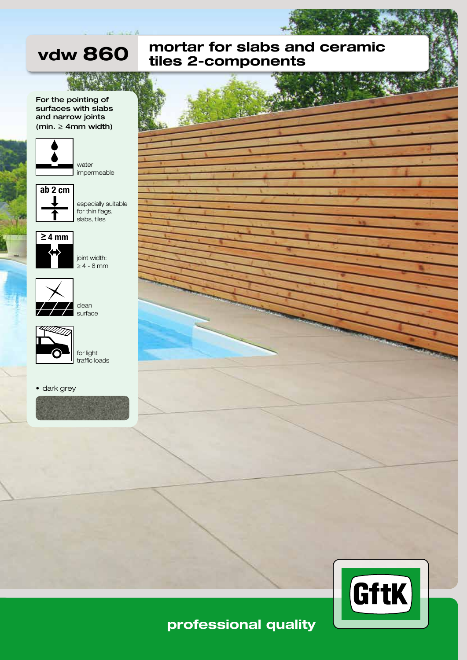

### For the pointing of surfaces with slabs and narrow joints (min.  $\geq$  4mm width)

vdw 860



water impermeable



especially suitable for thin flags, slabs, tiles



joint width: ≥ 4 - 8 mm



clean surface



for light traffic loads

• dark grey







# professional quality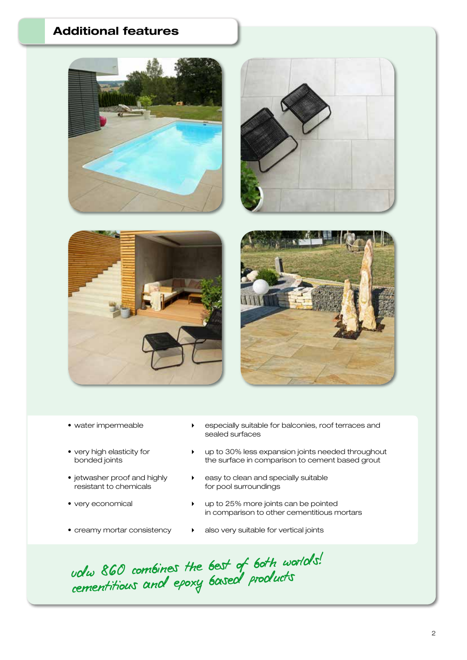## Additional features



- 
- 
- resistant to chemicals for pool surroundings
- 
- 
- water impermeable  $\longrightarrow$  especially suitable for balconies, roof terraces and sealed surfaces
- very high elasticity for  $\longrightarrow$  up to 30% less expansion joints needed throughout bonded joints  $\longrightarrow$  the surface in comparison to cement based grout the surface in comparison to cement based grout
- jetwasher proof and highly  $\longrightarrow$  easy to clean and specially suitable
- very economical **and the set of the very economical v** up to 25% more joints can be pointed in comparison to other cementitious mortars
- creamy mortar consistency <br>• also very suitable for vertical joints

volu 860 combines the best of both worlds! volu soc comomes the sased products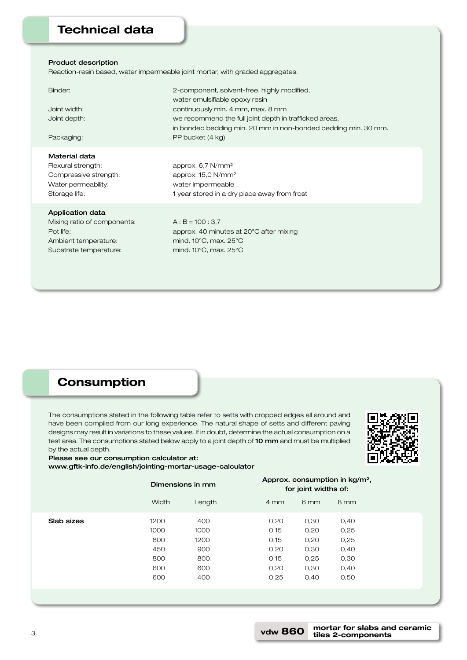### Technical data

#### Product description

Reaction-resin based, water impermeable joint mortar, with graded aggregates.

| Binder:<br>Joint width:<br>Joint depth:<br>Packaging:                                                                 | 2-component, solvent-free, highly modified,<br>water emulsifiable epoxy resin<br>continuously min. 4 mm, max. 8 mm<br>we recommend the full joint depth in trafficked areas,<br>in bonded bedding min. 20 mm in non-bonded bedding min. 30 mm.<br>PP bucket (4 kg) |
|-----------------------------------------------------------------------------------------------------------------------|--------------------------------------------------------------------------------------------------------------------------------------------------------------------------------------------------------------------------------------------------------------------|
| Material data<br>Flexural strength:<br>Compressive strength:<br>Water permeability:<br>Storage life:                  | approx. $6,7$ N/mm <sup>2</sup><br>approx. $15,0$ N/mm <sup>2</sup><br>water impermeable<br>1 year stored in a dry place away from frost                                                                                                                           |
| <b>Application data</b><br>Mixing ratio of components:<br>Pot life:<br>Ambient temperature:<br>Substrate temperature: | $A:B = 100:3.7$<br>approx. 40 minutes at 20°C after mixing<br>mind. $10^{\circ}$ C, max. $25^{\circ}$ C<br>mind. $10^{\circ}$ C, max. $25^{\circ}$ C                                                                                                               |

### **Consumption**

Please see our consumption calculator at:

www.gftk-info.de/english/jointing-mortar-usage-calculator

The consumptions stated in the following table refer to setts with cropped edges all around and have been compiled from our long experience. The natural shape of setts and different paving designs may result in variations to these values. If in doubt, determine the actual consumption on a test area. The consumptions stated below apply to a joint depth of 10 mm and must be multiplied by the actual depth.



|            | Dimensions in mm                                |                                                 |                                                      | Approx. consumption in kg/m <sup>2</sup> ,<br>for joint widths of: |                                                      |  |
|------------|-------------------------------------------------|-------------------------------------------------|------------------------------------------------------|--------------------------------------------------------------------|------------------------------------------------------|--|
|            | <b>Width</b>                                    | Length                                          | $4 \, \text{mm}$                                     | 6 <sub>mm</sub>                                                    | 8 mm                                                 |  |
| Slab sizes | 1200<br>1000<br>800<br>450<br>800<br>600<br>600 | 400<br>1000<br>1200<br>900<br>800<br>600<br>400 | 0,20<br>0,15<br>0,15<br>0,20<br>0,15<br>0,20<br>0,25 | 0,30<br>0,20<br>0,20<br>0,30<br>0,25<br>0,30<br>0,40               | 0,40<br>0,25<br>0,25<br>0,40<br>0,30<br>0,40<br>0,50 |  |
|            |                                                 |                                                 |                                                      |                                                                    |                                                      |  |

mortar for slabs and ceramic tiles 2-components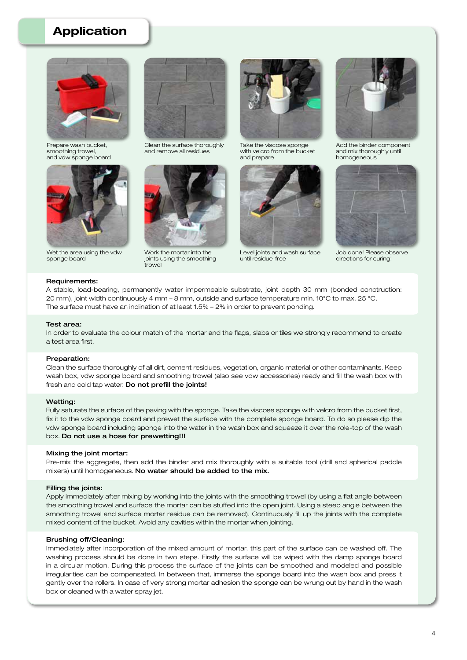### Application



Prepare wash bucket, smoothing trowel, and vdw sponge board



Wet the area using the vdw sponge board



Clean the surface thoroughly and remove all residues



Work the mortar into the joints using the smoothing trowel



Take the viscose sponge with velcro from the bucket and prepare



Level joints and wash surface until residue-free



Add the binder component and mix thoroughly until homogeneous



Job done! Please observe directions for curing!

#### Requirements:

A stable, load-bearing, permanently water impermeable substrate, joint depth 30 mm (bonded conctruction: 20 mm), joint width continuously 4 mm – 8 mm, outside and surface temperature min. 10°C to max. 25 °C. The surface must have an inclination of at least 1.5% – 2% in order to prevent ponding.

#### Test area:

In order to evaluate the colour match of the mortar and the flags, slabs or tiles we strongly recommend to create a test area first.

#### Preparation:

Clean the surface thoroughly of all dirt, cement residues, vegetation, organic material or other contaminants. Keep wash box, vdw sponge board and smoothing trowel (also see vdw accessories) ready and fill the wash box with fresh and cold tap water. Do not prefill the joints!

#### Wetting:

Fully saturate the surface of the paving with the sponge. Take the viscose sponge with velcro from the bucket first, fix it to the vdw sponge board and prewet the surface with the complete sponge board. To do so please dip the vdw sponge board including sponge into the water in the wash box and squeeze it over the role-top of the wash box. Do not use a hose for prewetting!!!

#### Mixing the joint mortar:

Pre-mix the aggregate, then add the binder and mix thoroughly with a suitable tool (drill and spherical paddle mixers) until homogeneous. No water should be added to the mix.

#### Filling the joints:

Apply immediately after mixing by working into the joints with the smoothing trowel (by using a flat angle between the smoothing trowel and surface the mortar can be stuffed into the open joint. Using a steep angle between the smoothing trowel and surface mortar residue can be removed). Continuously fill up the joints with the complete mixed content of the bucket. Avoid any cavities within the mortar when jointing.

#### Brushing off/Cleaning:

Immediately after incorporation of the mixed amount of mortar, this part of the surface can be washed off. The washing process should be done in two steps. Firstly the surface will be wiped with the damp sponge board in a circular motion. During this process the surface of the joints can be smoothed and modeled and possible irregularities can be compensated. In between that, immerse the sponge board into the wash box and press it gently over the rollers. In case of very strong mortar adhesion the sponge can be wrung out by hand in the wash box or cleaned with a water spray jet.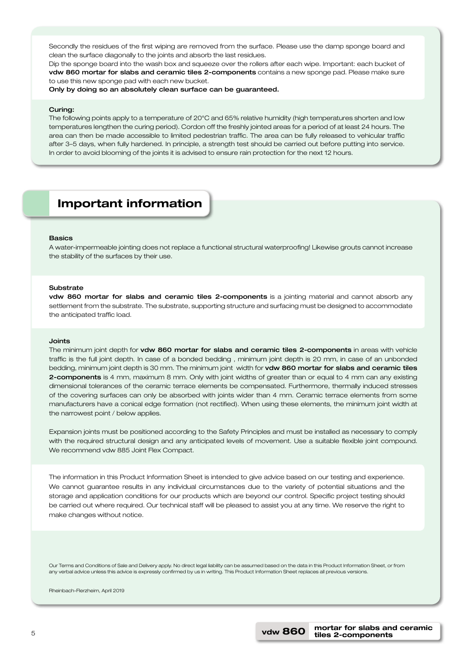Secondly the residues of the first wiping are removed from the surface. Please use the damp sponge board and clean the surface diagonally to the joints and absorb the last residues.

Dip the sponge board into the wash box and squeeze over the rollers after each wipe. Important: each bucket of vdw 860 mortar for slabs and ceramic tiles 2-components contains a new sponge pad. Please make sure to use this new sponge pad with each new bucket.

Only by doing so an absolutely clean surface can be guaranteed.

#### Curing:

The following points apply to a temperature of 20°C and 65% relative humidity (high temperatures shorten and low temperatures lengthen the curing period). Cordon off the freshly jointed areas for a period of at least 24 hours. The area can then be made accessible to limited pedestrian traffic. The area can be fully released to vehicular traffic after 3–5 days, when fully hardened. In principle, a strength test should be carried out before putting into service. In order to avoid blooming of the joints it is advised to ensure rain protection for the next 12 hours.

### Important information

#### Basics

A water-impermeable jointing does not replace a functional structural waterproofing! Likewise grouts cannot increase the stability of the surfaces by their use.

#### Substrate

vdw 860 mortar for slabs and ceramic tiles 2-components is a jointing material and cannot absorb any settlement from the substrate. The substrate, supporting structure and surfacing must be designed to accommodate the anticipated traffic load.

#### Joints

The minimum joint depth for vdw 860 mortar for slabs and ceramic tiles 2-components in areas with vehicle traffic is the full joint depth. In case of a bonded bedding , minimum joint depth is 20 mm, in case of an unbonded bedding, minimum joint depth is 30 mm. The minimum joint width for vdw 860 mortar for slabs and ceramic tiles 2-components is 4 mm, maximum 8 mm. Only with joint widths of greater than or equal to 4 mm can any existing dimensional tolerances of the ceramic terrace elements be compensated. Furthermore, thermally induced stresses of the covering surfaces can only be absorbed with joints wider than 4 mm. Ceramic terrace elements from some manufacturers have a conical edge formation (not rectified). When using these elements, the minimum joint width at the narrowest point / below applies.

Expansion joints must be positioned according to the Safety Principles and must be installed as necessary to comply with the required structural design and any anticipated levels of movement. Use a suitable flexible joint compound. We recommend vdw 885 Joint Flex Compact.

The information in this Product Information Sheet is intended to give advice based on our testing and experience. We cannot guarantee results in any individual circumstances due to the variety of potential situations and the storage and application conditions for our products which are beyond our control. Specific project testing should be carried out where required. Our technical staff will be pleased to assist you at any time. We reserve the right to make changes without notice.

Our Terms and Conditions of Sale and Delivery apply. No direct legal liability can be assumed based on the data in this Product Information Sheet, or from any verbal advice unless this advice is expressly confirmed by us in writing. This Product Information Sheet replaces all previous versions.

Rheinbach-Flerzheim, April 2019